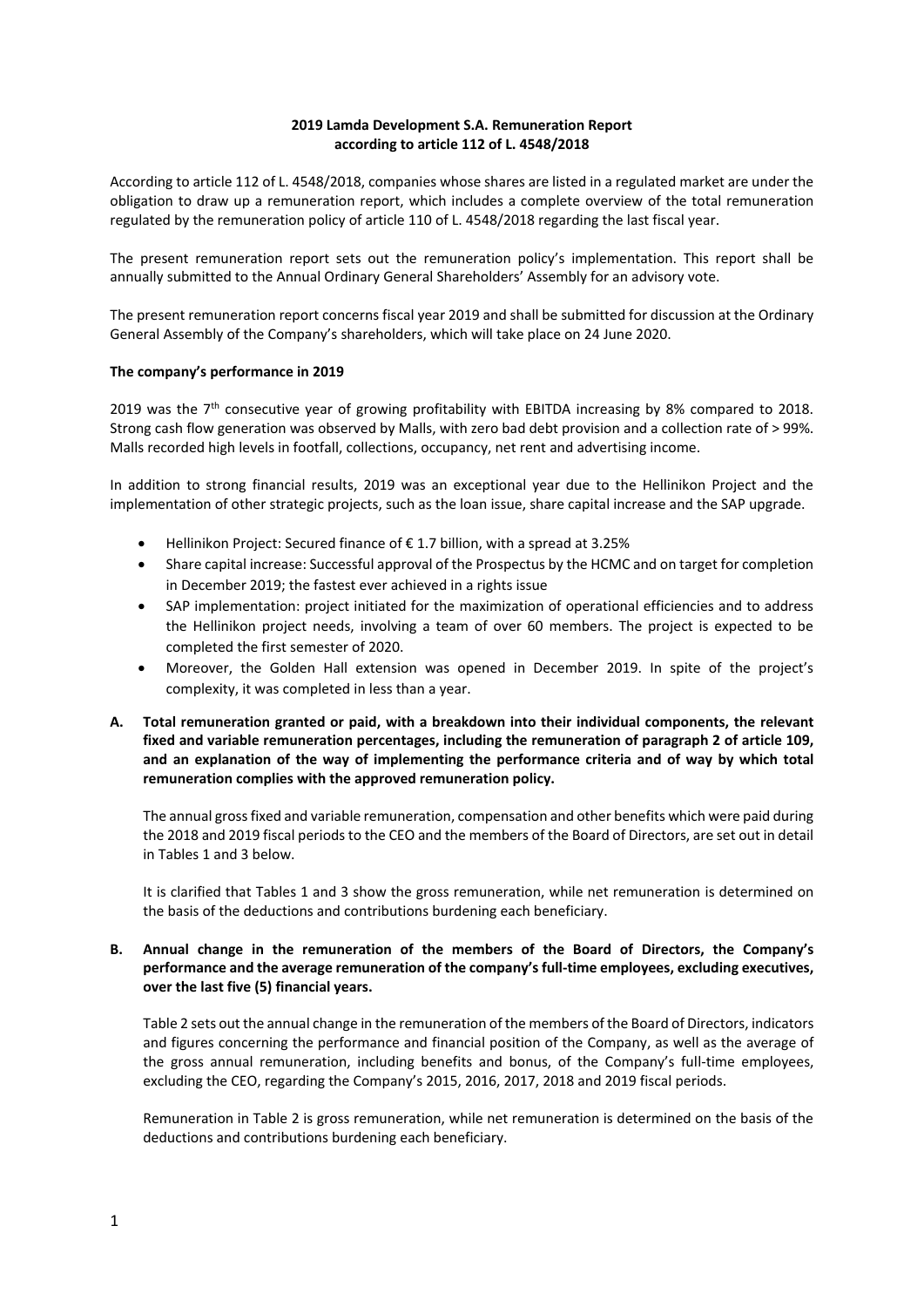# **2019 Lamda Development S.A. Remuneration Report according to article 112 of L. 4548/2018**

According to article 112 of L. 4548/2018, companies whose shares are listed in a regulated market are under the obligation to draw up a remuneration report, which includes a complete overview of the total remuneration regulated by the remuneration policy of article 110 of L. 4548/2018 regarding the last fiscal year.

The present remuneration report sets out the remuneration policy's implementation. This report shall be annually submitted to the Annual Ordinary General Shareholders' Assembly for an advisory vote.

The present remuneration report concerns fiscal year 2019 and shall be submitted for discussion at the Ordinary General Assembly of the Company's shareholders, which will take place on 24 June 2020.

# **The company's performance in 2019**

2019 was the  $7<sup>th</sup>$  consecutive year of growing profitability with EBITDA increasing by 8% compared to 2018. Strong cash flow generation was observed by Malls, with zero bad debt provision and a collection rate of > 99%. Malls recorded high levels in footfall, collections, occupancy, net rent and advertising income.

In addition to strong financial results, 2019 was an exceptional year due to the Hellinikon Project and the implementation of other strategic projects, such as the loan issue, share capital increase and the SAP upgrade.

- $\bullet$  Hellinikon Project: Secured finance of € 1.7 billion, with a spread at 3.25%
- Share capital increase: Successful approval of the Prospectus by the HCMC and on target for completion in December 2019; the fastest ever achieved in a rights issue
- SAP implementation: project initiated for the maximization of operational efficiencies and to address the Hellinikon project needs, involving a team of over 60 members. The project is expected to be completed the first semester of 2020.
- Moreover, the Golden Hall extension was opened in December 2019. In spite of the project's complexity, it was completed in less than a year.
- **A. Total remuneration granted or paid, with a breakdown into their individual components, the relevant fixed and variable remuneration percentages, including the remuneration of paragraph 2 of article 109, and an explanation of the way of implementing the performance criteria and of way by which total remuneration complies with the approved remuneration policy.**

The annual grossfixed and variable remuneration, compensation and other benefits which were paid during the 2018 and 2019 fiscal periods to the CEO and the members of the Board of Directors, are set out in detail in Tables 1 and 3 below.

It is clarified that Tables 1 and 3 show the gross remuneration, while net remuneration is determined on the basis of the deductions and contributions burdening each beneficiary.

# **B. Annual change in the remuneration of the members of the Board of Directors, the Company's performance and the average remuneration of the company's full-time employees, excluding executives, over the last five (5) financial years.**

Table 2 sets out the annual change in the remuneration of the members of the Board of Directors, indicators and figures concerning the performance and financial position of the Company, as well as the average of the gross annual remuneration, including benefits and bonus, of the Company's full-time employees, excluding the CEO, regarding the Company's 2015, 2016, 2017, 2018 and 2019 fiscal periods.

Remuneration in Table 2 is gross remuneration, while net remuneration is determined on the basis of the deductions and contributions burdening each beneficiary.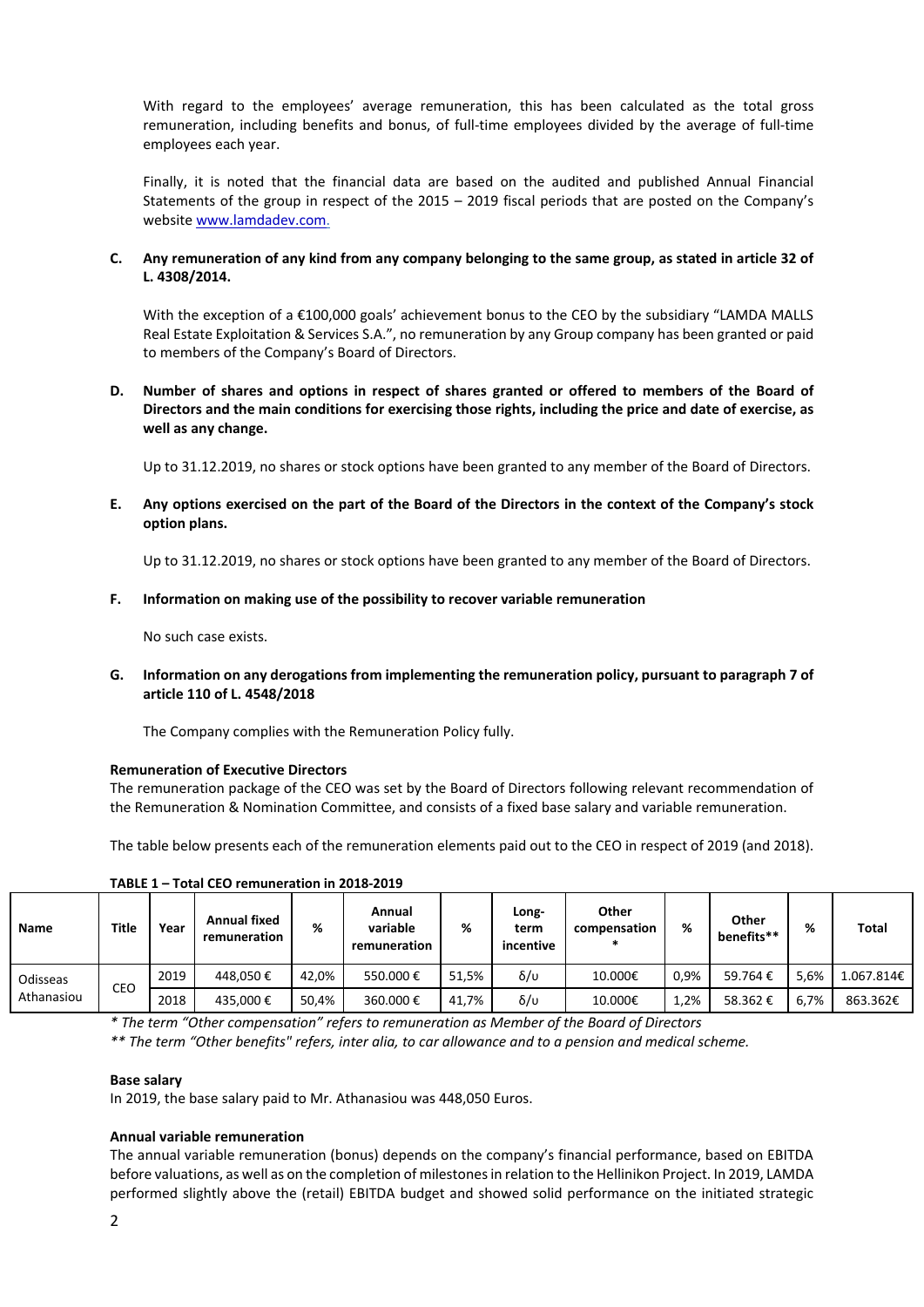With regard to the employees' average remuneration, this has been calculated as the total gross remuneration, including benefits and bonus, of full-time employees divided by the average of full-time employees each year.

Finally, it is noted that the financial data are based on the audited and published Annual Financial Statements of the group in respect of the 2015 – 2019 fiscal periods that are posted on the Company's websit[e www.lamdadev.com.](http://www.lamdadev.com/)

### **C. Any remuneration of any kind from any company belonging to the same group, as stated in article 32 of L. 4308/2014.**

With the exception of a €100,000 goals' achievement bonus to the CEO by the subsidiary "LAMDA MALLS Real Estate Exploitation & Services S.A.", no remuneration by any Group company has been granted or paid to members of the Company's Board of Directors.

# **D. Number of shares and options in respect of shares granted or offered to members of the Board of Directors and the main conditions for exercising those rights, including the price and date of exercise, as well as any change.**

Up to 31.12.2019, no shares or stock options have been granted to any member of the Board of Directors.

E. Any options exercised on the part of the Board of the Directors in the context of the Company's stock **option plans.**

Up to 31.12.2019, no shares or stock options have been granted to any member of the Board of Directors.

### **F. Information on making use of the possibility to recover variable remuneration**

No such case exists.

**G. Information on any derogations from implementing the remuneration policy, pursuant to paragraph 7 of article 110 of L. 4548/2018** 

The Company complies with the Remuneration Policy fully.

# **Remuneration of Executive Directors**

The remuneration package of the CEO was set by the Board of Directors following relevant recommendation of the Remuneration & Nomination Committee, and consists of a fixed base salary and variable remuneration.

The table below presents each of the remuneration elements paid out to the CEO in respect of 2019 (and 2018).

| Name                   | Title | Year | <b>Annual fixed</b><br>remuneration | %     | Annual<br>variable<br>remuneration | %     | Long-<br>term<br>incentive | Other<br>compensation | %    | Other<br>benefits** | ℅    | <b>Total</b> |
|------------------------|-------|------|-------------------------------------|-------|------------------------------------|-------|----------------------------|-----------------------|------|---------------------|------|--------------|
| Odisseas<br>Athanasiou | CEO   | 2019 | 448.050€                            | 42.0% | 550.000€                           | 51.5% | δ/υ                        | 10.000€               | 0,9% | 59.764€             | 5,6% | 1.067.814€   |
|                        |       | 2018 | 435.000€                            | 50.4% | 360.000€                           | 41.7% | δ/υ                        | 10.000€               | 1,2% | 58.362€             | 6.7% | 863.362€     |
|                        | . .   |      | .                                   |       |                                    |       |                            | .                     |      |                     |      |              |

**TABLE 1 – Total CEO remuneration in 2018-2019**

*\* The term "Other compensation" refers to remuneration as Member of the Board of Directors*

*\*\* The term "Other benefits" refers, inter alia, to car allowance and to a pension and medical scheme.* 

#### **Base salary**

In 2019, the base salary paid to Mr. Athanasiou was 448,050 Euros.

#### **Annual variable remuneration**

The annual variable remuneration (bonus) depends on the company's financial performance, based on EBITDA before valuations, as well as on the completion of milestones in relation to the Hellinikon Project. In 2019, LAMDA performed slightly above the (retail) EBITDA budget and showed solid performance on the initiated strategic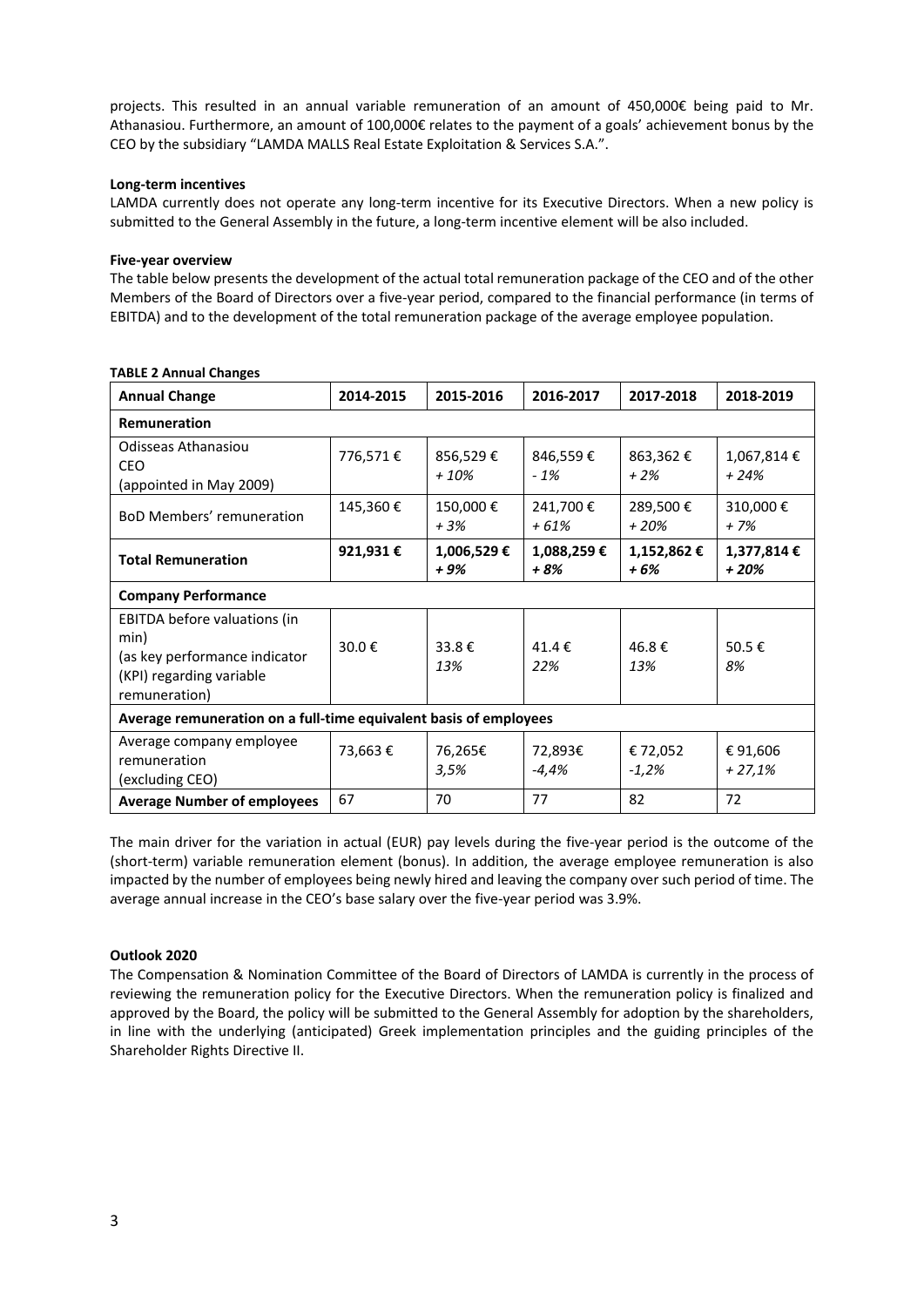projects. This resulted in an annual variable remuneration of an amount of 450,000€ being paid to Mr. Athanasiou. Furthermore, an amount of 100,000€ relates to the payment of a goals' achievement bonus by the CEO by the subsidiary "LAMDA MALLS Real Estate Exploitation & Services S.A.".

# **Long-term incentives**

LAMDA currently does not operate any long-term incentive for its Executive Directors. When a new policy is submitted to the General Assembly in the future, a long-term incentive element will be also included.

### **Five-year overview**

The table below presents the development of the actual total remuneration package of the CEO and of the other Members of the Board of Directors over a five-year period, compared to the financial performance (in terms of EBITDA) and to the development of the total remuneration package of the average employee population.

| <b>Annual Change</b>                                                                                               | 2014-2015 | 2015-2016          | 2016-2017          | 2017-2018           | 2018-2019            |  |
|--------------------------------------------------------------------------------------------------------------------|-----------|--------------------|--------------------|---------------------|----------------------|--|
| <b>Remuneration</b>                                                                                                |           |                    |                    |                     |                      |  |
| Odisseas Athanasiou<br><b>CEO</b><br>(appointed in May 2009)                                                       | 776,571€  | 856,529€<br>$+10%$ | 846,559€<br>$-1%$  | 863,362€<br>$+2%$   | 1,067,814€<br>+ 24%  |  |
| <b>BoD Members' remuneration</b>                                                                                   | 145,360€  | 150,000€<br>$+3%$  | 241,700€<br>+ 61%  | 289,500€<br>$+20%$  | 310,000€<br>$+7%$    |  |
| <b>Total Remuneration</b>                                                                                          | 921,931€  | 1,006,529€<br>+ 9% | 1,088,259€<br>+ 8% | 1,152,862€<br>$+6%$ | 1,377,814€<br>$+20%$ |  |
| <b>Company Performance</b>                                                                                         |           |                    |                    |                     |                      |  |
| EBITDA before valuations (in<br>min)<br>(as key performance indicator<br>(KPI) regarding variable<br>remuneration) | 30.0€     | 33.8€<br>13%       | 41.4€<br>22%       | 46.8€<br>13%        | 50.5€<br>8%          |  |
| Average remuneration on a full-time equivalent basis of employees                                                  |           |                    |                    |                     |                      |  |
| Average company employee<br>remuneration<br>(excluding CEO)                                                        | 73,663€   | 76,265€<br>3,5%    | 72,893€<br>-4,4%   | € 72,052<br>$-1,2%$ | €91,606<br>$+27,1%$  |  |
| <b>Average Number of employees</b>                                                                                 | 67        | 70                 | 77                 | 82                  | 72                   |  |

# **TABLE 2 Annual Changes**

The main driver for the variation in actual (EUR) pay levels during the five-year period is the outcome of the (short-term) variable remuneration element (bonus). In addition, the average employee remuneration is also impacted by the number of employees being newly hired and leaving the company over such period of time. The average annual increase in the CEO's base salary over the five-year period was 3.9%.

# **Outlook 2020**

The Compensation & Nomination Committee of the Board of Directors of LAMDA is currently in the process of reviewing the remuneration policy for the Executive Directors. When the remuneration policy is finalized and approved by the Board, the policy will be submitted to the General Assembly for adoption by the shareholders, in line with the underlying (anticipated) Greek implementation principles and the guiding principles of the Shareholder Rights Directive II.